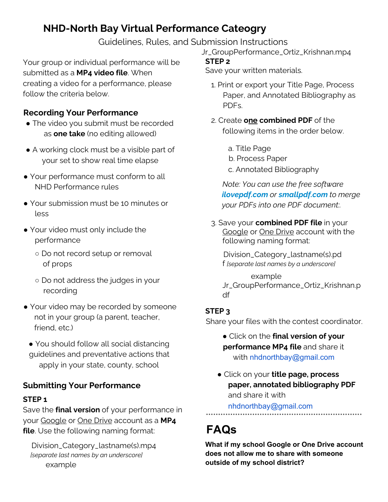# **NHD-North Bay Virtual Performance Cateogry**

Guidelines, Rules, and Submission Instructions

Your group or individual performance will be submitted as a **MP4 video file**. When creating a video for a performance, please follow the criteria below.

## **Recording Your Performance**

- The video you submit must be recorded as **one take** (no editing allowed)
- A working clock must be a visible part of your set to show real time elapse
- Your performance must conform to all NHD Performance rules
- Your submission must be 10 minutes or less
- Your video must only include the performance
	- Do not record setup or removal of props
	- Do not address the judges in your recording
- Your video may be recorded by someone not in your group (a parent, teacher, friend, etc.)
	- You should follow all social distancing guidelines and preventative actions that apply in your state, county, school

# **Submitting Your Performance**

#### **STEP 1**

Save the **final version** of your performance in your Google or One Drive account as a **MP4 file**. Use the following naming format:

Division\_Category\_lastname(s).mp4 *[separate last names by an underscore]* example

Jr\_GroupPerformance\_Ortiz\_Krishnan.mp4

#### **STEP 2**

Save your written materials.

- 1. Print or export your Title Page, Process Paper, and Annotated Bibliography as PDFs.
- 2. Create **one combined PDF** of the following items in the order below.
	- a. Title Page
	- b. Process Paper
	- c. Annotated Bibliography

*Note: You can use the free software ilovepdf.com or smallpdf.com to merge your PDFs into one PDF document:.*

3. Save your **combined PDF file** in your Google or One Drive account with the following naming format:

Division\_Category\_lastname(s).pd f *[separate last names by a underscore]*

example Jr\_GroupPerformance\_Ortiz\_Krishnan.p df

### **STEP 3**

Share your files with the contest coordinator.

- Click on the **final version of your performance MP4 file** and share it with nhdnorthbay@gmail.com
- Click on your **title page, process paper, annotated bibliography PDF** and share it with nhdnorthbay@gmail.com

\*\*\*\*\*\*\*\*\*\*\*\*\*\*\*\*\*\*\*\*\*\*\*\*\*\*\*\*\*\*\*\*\*\*\*\*\*\*\*\*\*\*\*\*\*\*\*\*\*\*\*\*\*\*\*\*\*\*\*\*\*\*\*\*

# **FAQs**

**What if my school Google or One Drive account does not allow me to share with someone outside of my school district?**